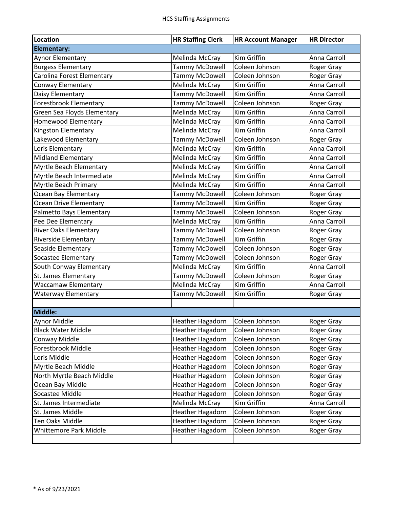| Location                      | <b>HR Staffing Clerk</b>          | <b>HR Account Manager</b> | <b>HR Director</b> |
|-------------------------------|-----------------------------------|---------------------------|--------------------|
| <b>Elementary:</b>            |                                   |                           |                    |
| Aynor Elementary              | Melinda McCray                    | Kim Griffin               | Anna Carroll       |
| <b>Burgess Elementary</b>     | <b>Tammy McDowell</b>             | Coleen Johnson            | Roger Gray         |
| Carolina Forest Elementary    | <b>Tammy McDowell</b>             | Coleen Johnson            | <b>Roger Gray</b>  |
| Conway Elementary             | Melinda McCray                    | Kim Griffin               | Anna Carroll       |
| Daisy Elementary              | <b>Tammy McDowell</b>             | <b>Kim Griffin</b>        | Anna Carroll       |
| Forestbrook Elementary        | <b>Tammy McDowell</b>             | Coleen Johnson            | Roger Gray         |
| Green Sea Floyds Elementary   | Melinda McCray                    | Kim Griffin               | Anna Carroll       |
| <b>Homewood Elementary</b>    | Melinda McCray                    | Kim Griffin               | Anna Carroll       |
| Kingston Elementary           | Melinda McCray                    | Kim Griffin               | Anna Carroll       |
| Lakewood Elementary           | <b>Tammy McDowell</b>             | Coleen Johnson            | Roger Gray         |
| Loris Elementary              | Melinda McCray                    | Kim Griffin               | Anna Carroll       |
| <b>Midland Elementary</b>     | Melinda McCray                    | Kim Griffin               | Anna Carroll       |
| Myrtle Beach Elementary       | Melinda McCray                    | Kim Griffin               | Anna Carroll       |
| Myrtle Beach Intermediate     | Melinda McCray                    | Kim Griffin               | Anna Carroll       |
| Myrtle Beach Primary          | Melinda McCray                    | Kim Griffin               | Anna Carroll       |
| Ocean Bay Elementary          | <b>Tammy McDowell</b>             | Coleen Johnson            | Roger Gray         |
| Ocean Drive Elementary        | <b>Tammy McDowell</b>             | Kim Griffin               | Roger Gray         |
| Palmetto Bays Elementary      | <b>Tammy McDowell</b>             | Coleen Johnson            | Roger Gray         |
| Pee Dee Elementary            | Melinda McCray                    | Kim Griffin               | Anna Carroll       |
| <b>River Oaks Elementary</b>  | <b>Tammy McDowell</b>             | Coleen Johnson            | Roger Gray         |
| <b>Riverside Elementary</b>   | <b>Tammy McDowell</b>             | Kim Griffin               | Roger Gray         |
| Seaside Elementary            | <b>Tammy McDowell</b>             | Coleen Johnson            | Roger Gray         |
| Socastee Elementary           | <b>Tammy McDowell</b>             | Coleen Johnson            | Roger Gray         |
| South Conway Elementary       | Melinda McCray                    | Kim Griffin               | Anna Carroll       |
| St. James Elementary          | <b>Tammy McDowell</b>             | Coleen Johnson            | Roger Gray         |
| <b>Waccamaw Elementary</b>    | Melinda McCray                    | Kim Griffin               | Anna Carroll       |
| <b>Waterway Elementary</b>    | <b>Tammy McDowell</b>             | Kim Griffin               | Roger Gray         |
|                               |                                   |                           |                    |
| Middle:                       |                                   |                           |                    |
| Aynor Middle                  | Heather Hagadorn   Coleen Johnson |                           | Roger Gray         |
| <b>Black Water Middle</b>     | <b>Heather Hagadorn</b>           | Coleen Johnson            | Roger Gray         |
| Conway Middle                 | Heather Hagadorn                  | Coleen Johnson            | Roger Gray         |
| Forestbrook Middle            | <b>Heather Hagadorn</b>           | Coleen Johnson            | Roger Gray         |
| Loris Middle                  | Heather Hagadorn                  | Coleen Johnson            | Roger Gray         |
| Myrtle Beach Middle           | <b>Heather Hagadorn</b>           | Coleen Johnson            | Roger Gray         |
| North Myrtle Beach Middle     | <b>Heather Hagadorn</b>           | Coleen Johnson            | Roger Gray         |
| Ocean Bay Middle              | <b>Heather Hagadorn</b>           | Coleen Johnson            | Roger Gray         |
| Socastee Middle               | <b>Heather Hagadorn</b>           | Coleen Johnson            | Roger Gray         |
| St. James Intermediate        | Melinda McCray                    | Kim Griffin               | Anna Carroll       |
| St. James Middle              | <b>Heather Hagadorn</b>           | Coleen Johnson            | Roger Gray         |
| Ten Oaks Middle               | <b>Heather Hagadorn</b>           | Coleen Johnson            | Roger Gray         |
| <b>Whittemore Park Middle</b> | <b>Heather Hagadorn</b>           | Coleen Johnson            | Roger Gray         |
|                               |                                   |                           |                    |